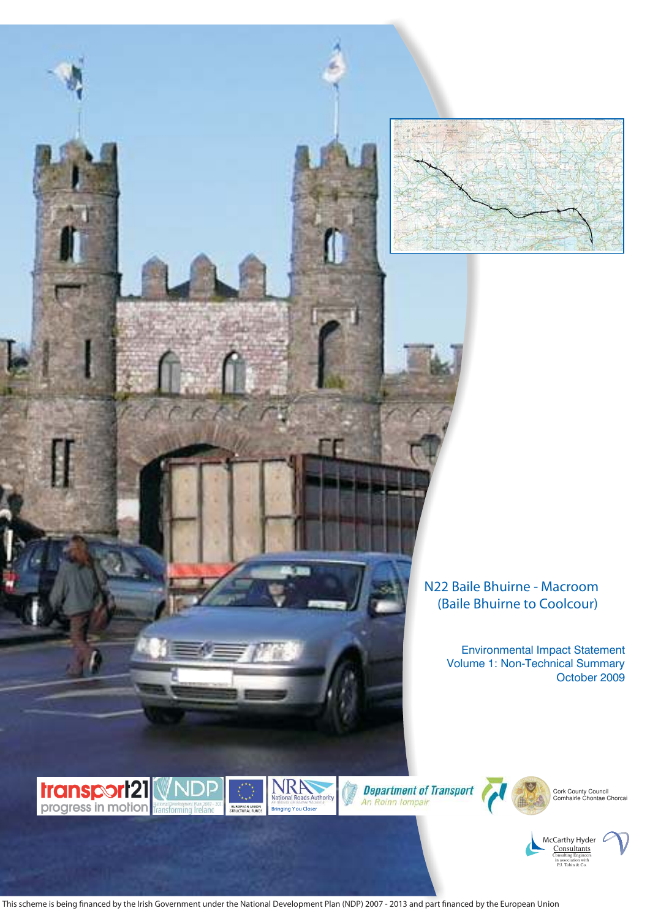

# **N22 Baile Bhuirne - Macroom N22 Baile Bhuirne - Macroom (Baile Bhuirne to Coolcour) (Baile Bhuirne to Coolcour)**

Environmental Impact Statement Volume 1: Non-Technical Summary Volume 1: Non-Technical Summary October 2009 October 2009 Environmental Impact Statement









Cork County Council Comhairle Chontae Chorcai



This scheme is being financed by the Irish Government under the National Development Plan (NDP) 2007 - 2013 and part financed by the European Union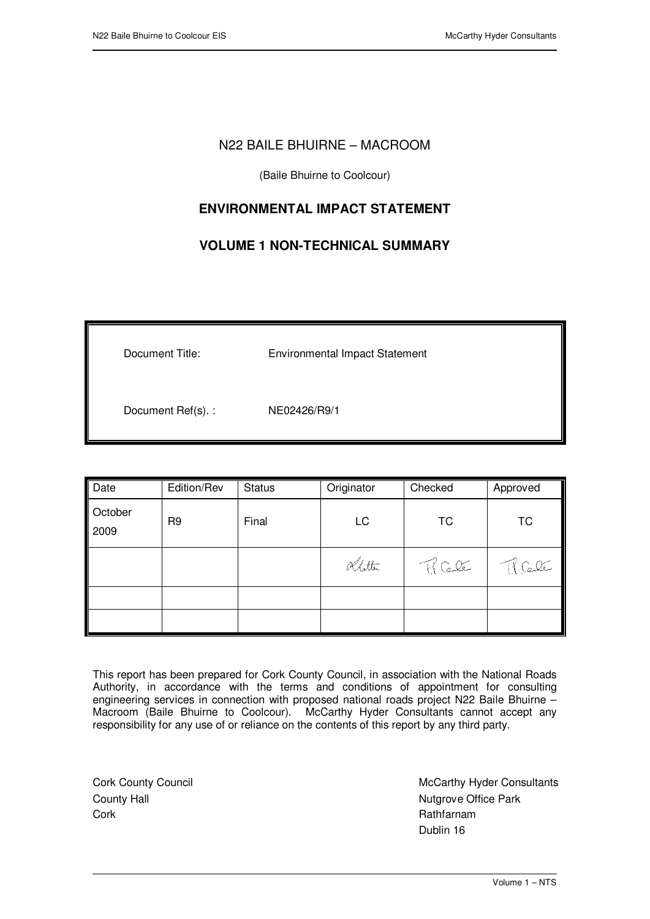## N22 BAILE BHUIRNE – MACROOM

(Baile Bhuirne to Coolcour)

# **ENVIRONMENTAL IMPACT STATEMENT**

# **VOLUME 1 NON-TECHNICAL SUMMARY**

| Document Title:   | <b>Environmental Impact Statement</b> |
|-------------------|---------------------------------------|
| Document Ref(s).: | NE02426/R9/1                          |

| Date            | Edition/Rev    | <b>Status</b> | Originator | Checked    | Approved   |
|-----------------|----------------|---------------|------------|------------|------------|
| October<br>2009 | R <sub>9</sub> | Final         | LC         | <b>TC</b>  | <b>TC</b>  |
|                 |                |               | Khitter    | $\pi$ Cele | $\pi$ Cele |
|                 |                |               |            |            |            |
|                 |                |               |            |            |            |

This report has been prepared for Cork County Council, in association with the National Roads Authority, in accordance with the terms and conditions of appointment for consulting engineering services in connection with proposed national roads project N22 Baile Bhuirne – Macroom (Baile Bhuirne to Coolcour). McCarthy Hyder Consultants cannot accept any responsibility for any use of or reliance on the contents of this report by any third party.

Cork County Council County Hall Cork

 $\overline{a}$ 

 McCarthy Hyder Consultants Nutgrove Office Park Rathfarnam Dublin 16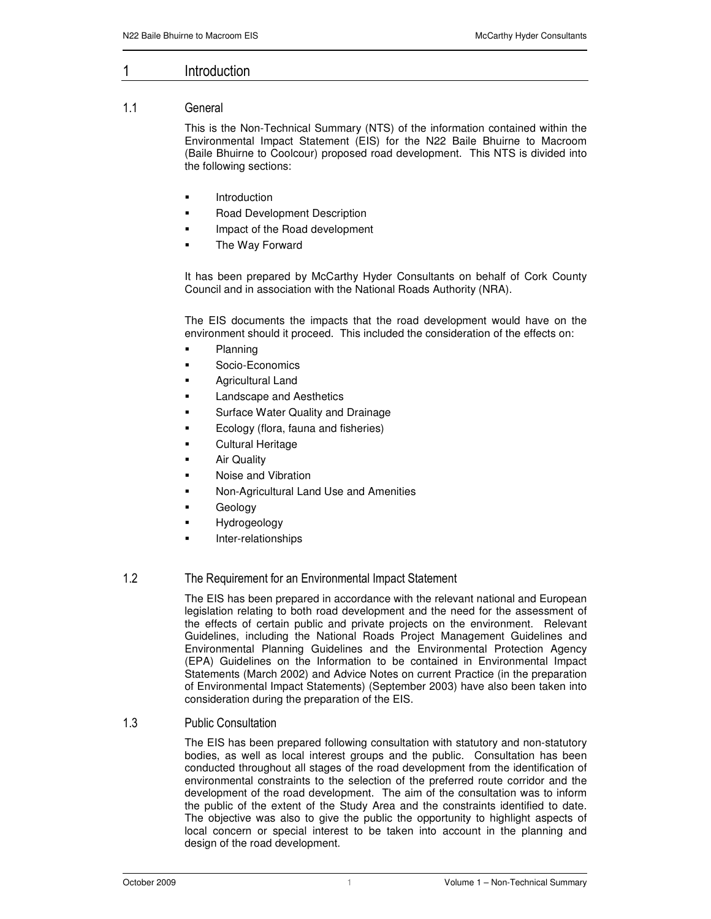#### $1 \qquad \qquad$ ntroduction

### 11 General

This is the Non-Technical Summary (NTS) of the information contained within the Environmental Impact Statement (EIS) for the N22 Baile Bhuirne to Macroom (Baile Bhuirne to Coolcour) proposed road development. This NTS is divided into the following sections:

- Introduction
- Road Development Description
- Impact of the Road development
- The Way Forward

It has been prepared by McCarthy Hyder Consultants on behalf of Cork County Council and in association with the National Roads Authority (NRA).

The EIS documents the impacts that the road development would have on the environment should it proceed. This included the consideration of the effects on:

- Planning
- Socio-Economics
- Agricultural Land
- Landscape and Aesthetics
- Surface Water Quality and Drainage
- Ecology (flora, fauna and fisheries)
- Cultural Heritage
- Air Quality
- Noise and Vibration
- Non-Agricultural Land Use and Amenities
- Geology
- Hydrogeology
- Inter-relationships

## 1.2 The Requirement for an Environmental Impact Statement

The EIS has been prepared in accordance with the relevant national and European legislation relating to both road development and the need for the assessment of the effects of certain public and private projects on the environment. Relevant Guidelines, including the National Roads Project Management Guidelines and Environmental Planning Guidelines and the Environmental Protection Agency (EPA) Guidelines on the Information to be contained in Environmental Impact Statements (March 2002) and Advice Notes on current Practice (in the preparation of Environmental Impact Statements) (September 2003) have also been taken into consideration during the preparation of the EIS.

### 1.3 Public Consultation

The EIS has been prepared following consultation with statutory and non-statutory bodies, as well as local interest groups and the public. Consultation has been conducted throughout all stages of the road development from the identification of environmental constraints to the selection of the preferred route corridor and the development of the road development. The aim of the consultation was to inform the public of the extent of the Study Area and the constraints identified to date. The objective was also to give the public the opportunity to highlight aspects of local concern or special interest to be taken into account in the planning and design of the road development.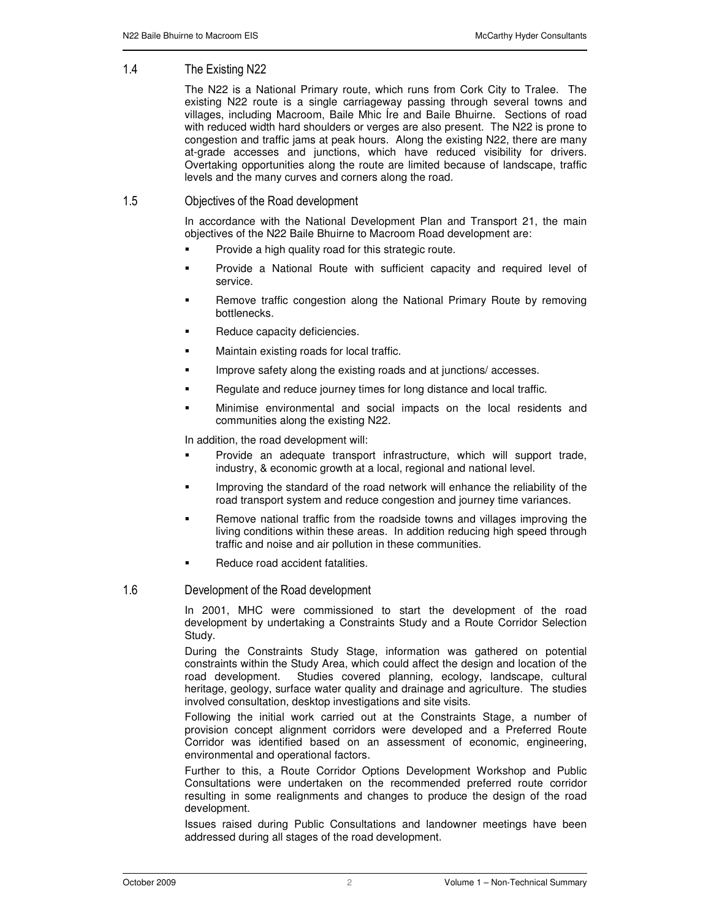## 1.4 The Existing N22

The N22 is a National Primary route, which runs from Cork City to Tralee. The existing N22 route is a single carriageway passing through several towns and villages, including Macroom, Baile Mhic Íre and Baile Bhuirne. Sections of road with reduced width hard shoulders or verges are also present. The N22 is prone to congestion and traffic jams at peak hours. Along the existing N22, there are many at-grade accesses and junctions, which have reduced visibility for drivers. Overtaking opportunities along the route are limited because of landscape, traffic levels and the many curves and corners along the road.

## 1.5 Objectives of the Road development

In accordance with the National Development Plan and Transport 21, the main objectives of the N22 Baile Bhuirne to Macroom Road development are:

- Provide a high quality road for this strategic route.
- Provide a National Route with sufficient capacity and required level of service.
- Remove traffic congestion along the National Primary Route by removing bottlenecks.
- Reduce capacity deficiencies.
- Maintain existing roads for local traffic.
- Improve safety along the existing roads and at junctions/ accesses.
- Regulate and reduce journey times for long distance and local traffic.
- Minimise environmental and social impacts on the local residents and communities along the existing N22.

In addition, the road development will:

- Provide an adequate transport infrastructure, which will support trade, industry, & economic growth at a local, regional and national level.
- Improving the standard of the road network will enhance the reliability of the road transport system and reduce congestion and journey time variances.
- Remove national traffic from the roadside towns and villages improving the living conditions within these areas. In addition reducing high speed through traffic and noise and air pollution in these communities.
- Reduce road accident fatalities.

#### 1.6 Development of the Road development

In 2001, MHC were commissioned to start the development of the road development by undertaking a Constraints Study and a Route Corridor Selection Study.

During the Constraints Study Stage, information was gathered on potential constraints within the Study Area, which could affect the design and location of the road development. Studies covered planning, ecology, landscape, cultural heritage, geology, surface water quality and drainage and agriculture. The studies involved consultation, desktop investigations and site visits.

Following the initial work carried out at the Constraints Stage, a number of provision concept alignment corridors were developed and a Preferred Route Corridor was identified based on an assessment of economic, engineering, environmental and operational factors.

Further to this, a Route Corridor Options Development Workshop and Public Consultations were undertaken on the recommended preferred route corridor resulting in some realignments and changes to produce the design of the road development.

Issues raised during Public Consultations and landowner meetings have been addressed during all stages of the road development.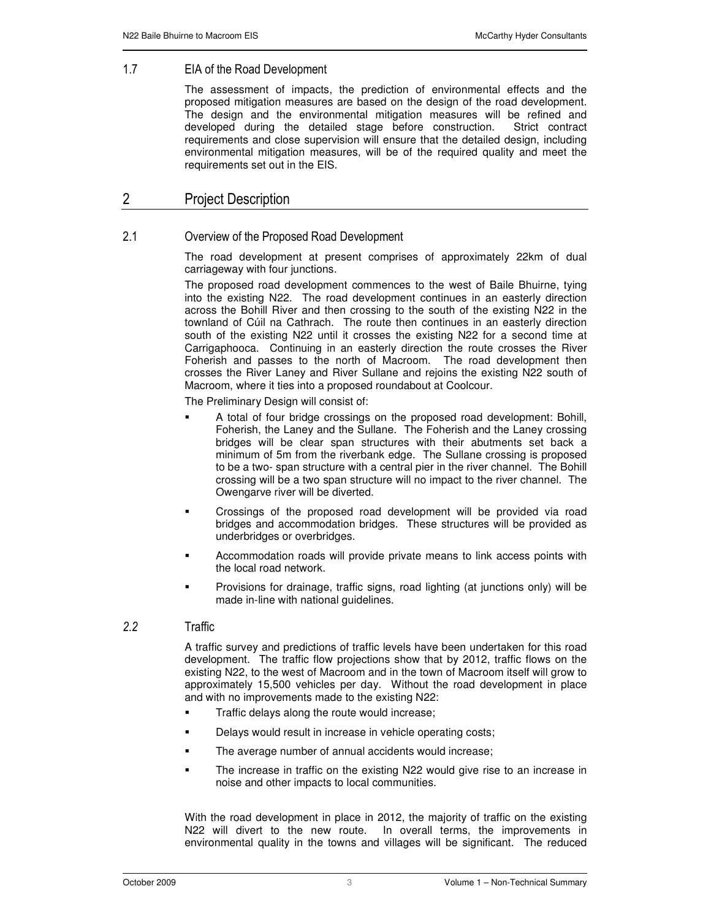#### $1.7$ EIA of the Road Development

The assessment of impacts, the prediction of environmental effects and the proposed mitigation measures are based on the design of the road development. The design and the environmental mitigation measures will be refined and developed during the detailed stage before construction. Strict contract requirements and close supervision will ensure that the detailed design, including environmental mitigation measures, will be of the required quality and meet the requirements set out in the EIS.

# 2 Project Description

## 2.1 Overview of the Proposed Road Development

The road development at present comprises of approximately 22km of dual carriageway with four junctions.

The proposed road development commences to the west of Baile Bhuirne, tying into the existing N22. The road development continues in an easterly direction across the Bohill River and then crossing to the south of the existing N22 in the townland of Cúil na Cathrach. The route then continues in an easterly direction south of the existing N22 until it crosses the existing N22 for a second time at Carrigaphooca. Continuing in an easterly direction the route crosses the River Foherish and passes to the north of Macroom. The road development then crosses the River Laney and River Sullane and rejoins the existing N22 south of Macroom, where it ties into a proposed roundabout at Coolcour.

The Preliminary Design will consist of:

- A total of four bridge crossings on the proposed road development: Bohill, Foherish, the Laney and the Sullane. The Foherish and the Laney crossing bridges will be clear span structures with their abutments set back a minimum of 5m from the riverbank edge. The Sullane crossing is proposed to be a two- span structure with a central pier in the river channel. The Bohill crossing will be a two span structure will no impact to the river channel. The Owengarve river will be diverted.
- Crossings of the proposed road development will be provided via road bridges and accommodation bridges. These structures will be provided as underbridges or overbridges.
- Accommodation roads will provide private means to link access points with the local road network.
- Provisions for drainage, traffic signs, road lighting (at junctions only) will be made in-line with national guidelines.

#### $2.2$ 2 Traffic

A traffic survey and predictions of traffic levels have been undertaken for this road development. The traffic flow projections show that by 2012, traffic flows on the existing N22, to the west of Macroom and in the town of Macroom itself will grow to approximately 15,500 vehicles per day. Without the road development in place and with no improvements made to the existing N22:

- Traffic delays along the route would increase;
- Delays would result in increase in vehicle operating costs;
- The average number of annual accidents would increase;
- The increase in traffic on the existing N22 would give rise to an increase in noise and other impacts to local communities.

With the road development in place in 2012, the majority of traffic on the existing N22 will divert to the new route. In overall terms, the improvements in environmental quality in the towns and villages will be significant. The reduced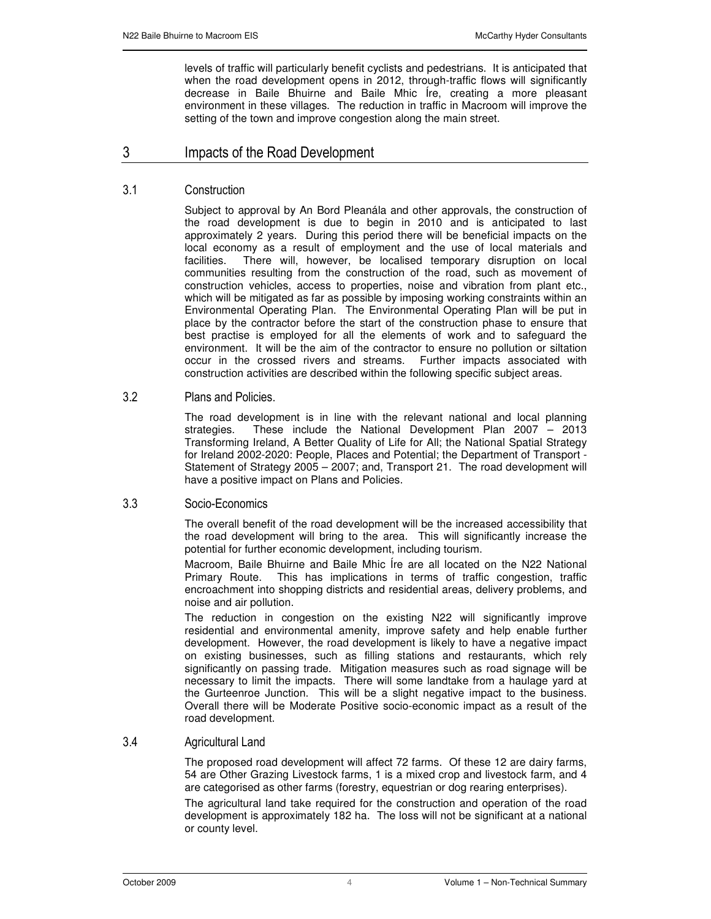levels of traffic will particularly benefit cyclists and pedestrians. It is anticipated that when the road development opens in 2012, through-traffic flows will significantly decrease in Baile Bhuirne and Baile Mhic Íre, creating a more pleasant environment in these villages. The reduction in traffic in Macroom will improve the setting of the town and improve congestion along the main street.

#### -Impacts of the Road Development

## 3.1 Construction

Subject to approval by An Bord Pleanála and other approvals, the construction of the road development is due to begin in 2010 and is anticipated to last approximately 2 years. During this period there will be beneficial impacts on the local economy as a result of employment and the use of local materials and facilities. There will, however, be localised temporary disruption on local communities resulting from the construction of the road, such as movement of construction vehicles, access to properties, noise and vibration from plant etc., which will be mitigated as far as possible by imposing working constraints within an Environmental Operating Plan. The Environmental Operating Plan will be put in place by the contractor before the start of the construction phase to ensure that best practise is employed for all the elements of work and to safeguard the environment. It will be the aim of the contractor to ensure no pollution or siltation occur in the crossed rivers and streams. Further impacts associated with construction activities are described within the following specific subject areas.

## 3.2 Plans and Policies.

The road development is in line with the relevant national and local planning strategies. These include the National Development Plan 2007 – 2013 Transforming Ireland, A Better Quality of Life for All; the National Spatial Strategy for Ireland 2002-2020: People, Places and Potential; the Department of Transport - Statement of Strategy 2005 – 2007; and, Transport 21. The road development will have a positive impact on Plans and Policies.

### 3.3 Socio-Economics

The overall benefit of the road development will be the increased accessibility that the road development will bring to the area. This will significantly increase the potential for further economic development, including tourism.

Macroom, Baile Bhuirne and Baile Mhic Íre are all located on the N22 National Primary Route. This has implications in terms of traffic congestion, traffic encroachment into shopping districts and residential areas, delivery problems, and noise and air pollution.

The reduction in congestion on the existing N22 will significantly improve residential and environmental amenity, improve safety and help enable further development. However, the road development is likely to have a negative impact on existing businesses, such as filling stations and restaurants, which rely significantly on passing trade. Mitigation measures such as road signage will be necessary to limit the impacts. There will some landtake from a haulage yard at the Gurteenroe Junction. This will be a slight negative impact to the business. Overall there will be Moderate Positive socio-economic impact as a result of the road development.

## 3.4 **Agricultural Land**

The proposed road development will affect 72 farms. Of these 12 are dairy farms, 54 are Other Grazing Livestock farms, 1 is a mixed crop and livestock farm, and 4 are categorised as other farms (forestry, equestrian or dog rearing enterprises).

The agricultural land take required for the construction and operation of the road development is approximately 182 ha. The loss will not be significant at a national or county level.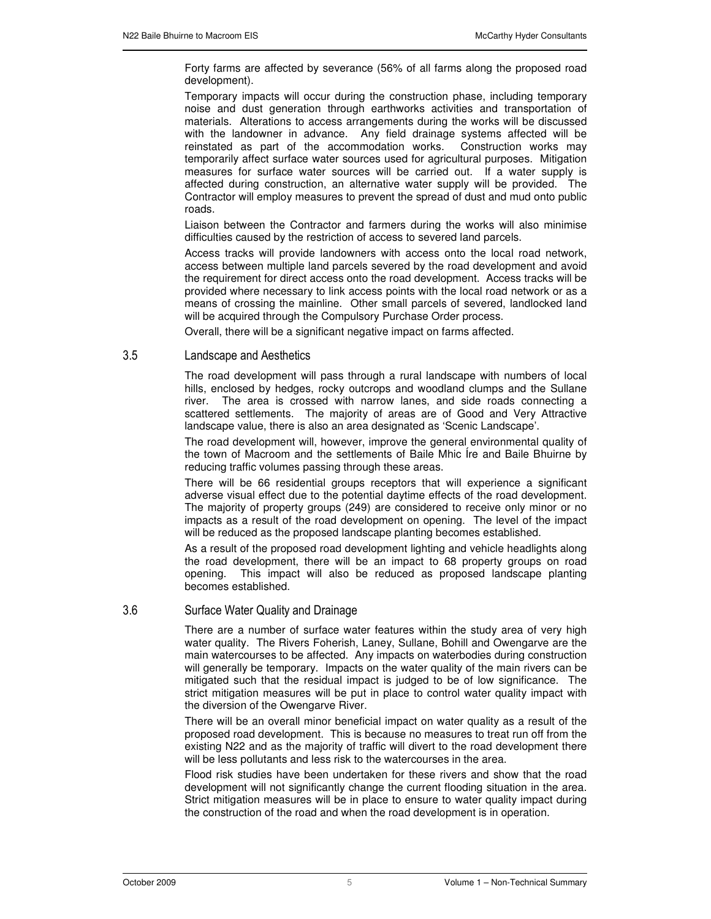Forty farms are affected by severance (56% of all farms along the proposed road development).

Temporary impacts will occur during the construction phase, including temporary noise and dust generation through earthworks activities and transportation of materials. Alterations to access arrangements during the works will be discussed with the landowner in advance. Any field drainage systems affected will be reinstated as part of the accommodation works. Construction works may temporarily affect surface water sources used for agricultural purposes. Mitigation measures for surface water sources will be carried out. If a water supply is affected during construction, an alternative water supply will be provided. The Contractor will employ measures to prevent the spread of dust and mud onto public roads.

Liaison between the Contractor and farmers during the works will also minimise difficulties caused by the restriction of access to severed land parcels.

Access tracks will provide landowners with access onto the local road network, access between multiple land parcels severed by the road development and avoid the requirement for direct access onto the road development. Access tracks will be provided where necessary to link access points with the local road network or as a means of crossing the mainline. Other small parcels of severed, landlocked land will be acquired through the Compulsory Purchase Order process.

Overall, there will be a significant negative impact on farms affected.

### 3.5 Landscape and Aesthetics

The road development will pass through a rural landscape with numbers of local hills, enclosed by hedges, rocky outcrops and woodland clumps and the Sullane river. The area is crossed with narrow lanes, and side roads connecting a scattered settlements. The majority of areas are of Good and Very Attractive landscape value, there is also an area designated as 'Scenic Landscape'.

The road development will, however, improve the general environmental quality of the town of Macroom and the settlements of Baile Mhic Íre and Baile Bhuirne by reducing traffic volumes passing through these areas.

There will be 66 residential groups receptors that will experience a significant adverse visual effect due to the potential daytime effects of the road development. The majority of property groups (249) are considered to receive only minor or no impacts as a result of the road development on opening. The level of the impact will be reduced as the proposed landscape planting becomes established.

As a result of the proposed road development lighting and vehicle headlights along the road development, there will be an impact to 68 property groups on road opening. This impact will also be reduced as proposed landscape planting becomes established.

### 3.6 Surface Water Quality and Drainage

There are a number of surface water features within the study area of very high water quality. The Rivers Foherish, Laney, Sullane, Bohill and Owengarve are the main watercourses to be affected. Any impacts on waterbodies during construction will generally be temporary. Impacts on the water quality of the main rivers can be mitigated such that the residual impact is judged to be of low significance. The strict mitigation measures will be put in place to control water quality impact with the diversion of the Owengarve River.

There will be an overall minor beneficial impact on water quality as a result of the proposed road development. This is because no measures to treat run off from the existing N22 and as the majority of traffic will divert to the road development there will be less pollutants and less risk to the watercourses in the area.

Flood risk studies have been undertaken for these rivers and show that the road development will not significantly change the current flooding situation in the area. Strict mitigation measures will be in place to ensure to water quality impact during the construction of the road and when the road development is in operation.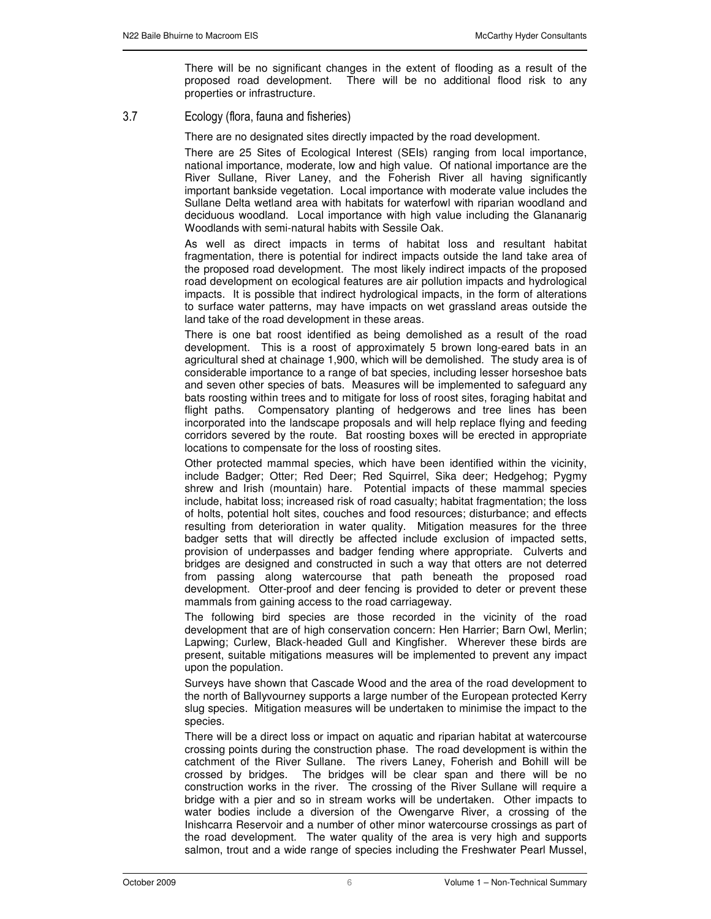There will be no significant changes in the extent of flooding as a result of the proposed road development. There will be no additional flood risk to any properties or infrastructure.

3.7 Ecology (flora, fauna and fisheries)

There are no designated sites directly impacted by the road development.

There are 25 Sites of Ecological Interest (SEIs) ranging from local importance, national importance, moderate, low and high value. Of national importance are the River Sullane, River Laney, and the Foherish River all having significantly important bankside vegetation. Local importance with moderate value includes the Sullane Delta wetland area with habitats for waterfowl with riparian woodland and deciduous woodland. Local importance with high value including the Glananarig Woodlands with semi-natural habits with Sessile Oak.

As well as direct impacts in terms of habitat loss and resultant habitat fragmentation, there is potential for indirect impacts outside the land take area of the proposed road development. The most likely indirect impacts of the proposed road development on ecological features are air pollution impacts and hydrological impacts. It is possible that indirect hydrological impacts, in the form of alterations to surface water patterns, may have impacts on wet grassland areas outside the land take of the road development in these areas.

There is one bat roost identified as being demolished as a result of the road development. This is a roost of approximately 5 brown long-eared bats in an agricultural shed at chainage 1,900, which will be demolished. The study area is of considerable importance to a range of bat species, including lesser horseshoe bats and seven other species of bats. Measures will be implemented to safeguard any bats roosting within trees and to mitigate for loss of roost sites, foraging habitat and flight paths. Compensatory planting of hedgerows and tree lines has been incorporated into the landscape proposals and will help replace flying and feeding corridors severed by the route. Bat roosting boxes will be erected in appropriate locations to compensate for the loss of roosting sites.

Other protected mammal species, which have been identified within the vicinity, include Badger; Otter; Red Deer; Red Squirrel, Sika deer; Hedgehog; Pygmy shrew and Irish (mountain) hare. Potential impacts of these mammal species include, habitat loss; increased risk of road casualty; habitat fragmentation; the loss of holts, potential holt sites, couches and food resources; disturbance; and effects resulting from deterioration in water quality. Mitigation measures for the three badger setts that will directly be affected include exclusion of impacted setts, provision of underpasses and badger fending where appropriate. Culverts and bridges are designed and constructed in such a way that otters are not deterred from passing along watercourse that path beneath the proposed road development. Otter-proof and deer fencing is provided to deter or prevent these mammals from gaining access to the road carriageway.

The following bird species are those recorded in the vicinity of the road development that are of high conservation concern: Hen Harrier; Barn Owl, Merlin; Lapwing; Curlew, Black-headed Gull and Kingfisher. Wherever these birds are present, suitable mitigations measures will be implemented to prevent any impact upon the population.

Surveys have shown that Cascade Wood and the area of the road development to the north of Ballyvourney supports a large number of the European protected Kerry slug species. Mitigation measures will be undertaken to minimise the impact to the species.

There will be a direct loss or impact on aquatic and riparian habitat at watercourse crossing points during the construction phase. The road development is within the catchment of the River Sullane. The rivers Laney, Foherish and Bohill will be crossed by bridges. The bridges will be clear span and there will be no construction works in the river. The crossing of the River Sullane will require a bridge with a pier and so in stream works will be undertaken. Other impacts to water bodies include a diversion of the Owengarve River, a crossing of the Inishcarra Reservoir and a number of other minor watercourse crossings as part of the road development. The water quality of the area is very high and supports salmon, trout and a wide range of species including the Freshwater Pearl Mussel,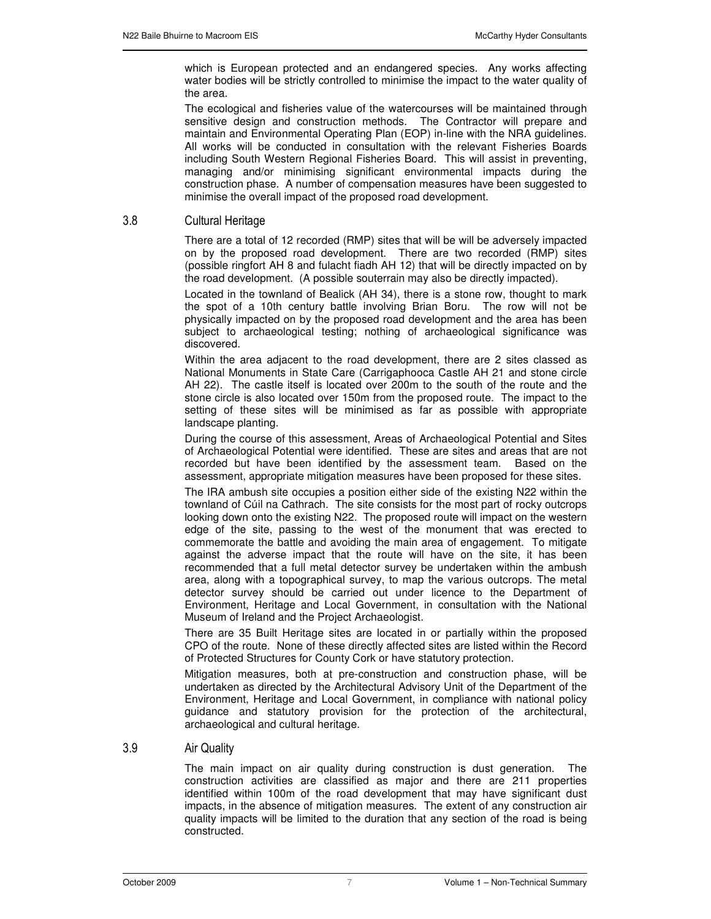which is European protected and an endangered species. Any works affecting water bodies will be strictly controlled to minimise the impact to the water quality of the area.

The ecological and fisheries value of the watercourses will be maintained through sensitive design and construction methods. The Contractor will prepare and maintain and Environmental Operating Plan (EOP) in-line with the NRA guidelines. All works will be conducted in consultation with the relevant Fisheries Boards including South Western Regional Fisheries Board. This will assist in preventing, managing and/or minimising significant environmental impacts during the construction phase. A number of compensation measures have been suggested to minimise the overall impact of the proposed road development.

### 3.8 Cultural Heritage

There are a total of 12 recorded (RMP) sites that will be will be adversely impacted on by the proposed road development. There are two recorded (RMP) sites (possible ringfort AH 8 and fulacht fiadh AH 12) that will be directly impacted on by the road development. (A possible souterrain may also be directly impacted).

Located in the townland of Bealick (AH 34), there is a stone row, thought to mark the spot of a 10th century battle involving Brian Boru. The row will not be physically impacted on by the proposed road development and the area has been subject to archaeological testing; nothing of archaeological significance was discovered.

Within the area adjacent to the road development, there are 2 sites classed as National Monuments in State Care (Carrigaphooca Castle AH 21 and stone circle AH 22). The castle itself is located over 200m to the south of the route and the stone circle is also located over 150m from the proposed route. The impact to the setting of these sites will be minimised as far as possible with appropriate landscape planting.

During the course of this assessment, Areas of Archaeological Potential and Sites of Archaeological Potential were identified. These are sites and areas that are not recorded but have been identified by the assessment team. Based on the assessment, appropriate mitigation measures have been proposed for these sites.

The IRA ambush site occupies a position either side of the existing N22 within the townland of Cúil na Cathrach. The site consists for the most part of rocky outcrops looking down onto the existing N22. The proposed route will impact on the western edge of the site, passing to the west of the monument that was erected to commemorate the battle and avoiding the main area of engagement. To mitigate against the adverse impact that the route will have on the site, it has been recommended that a full metal detector survey be undertaken within the ambush area, along with a topographical survey, to map the various outcrops. The metal detector survey should be carried out under licence to the Department of Environment, Heritage and Local Government, in consultation with the National Museum of Ireland and the Project Archaeologist.

There are 35 Built Heritage sites are located in or partially within the proposed CPO of the route. None of these directly affected sites are listed within the Record of Protected Structures for County Cork or have statutory protection.

Mitigation measures, both at pre-construction and construction phase, will be undertaken as directed by the Architectural Advisory Unit of the Department of the Environment, Heritage and Local Government, in compliance with national policy guidance and statutory provision for the protection of the architectural, archaeological and cultural heritage.

#### $3.9$ r Quality

The main impact on air quality during construction is dust generation. The construction activities are classified as major and there are 211 properties identified within 100m of the road development that may have significant dust impacts, in the absence of mitigation measures. The extent of any construction air quality impacts will be limited to the duration that any section of the road is being constructed.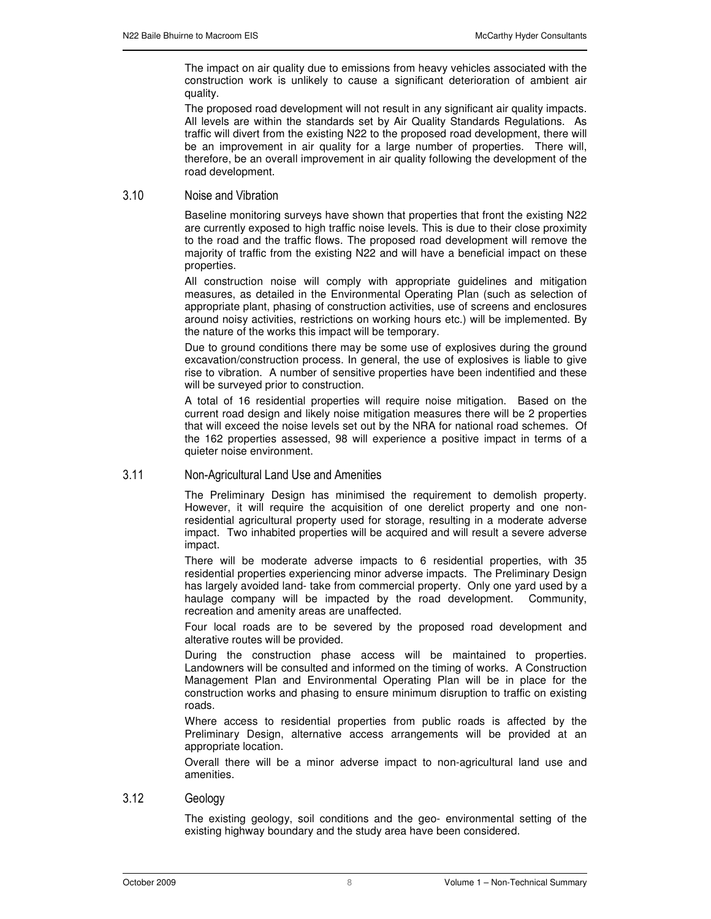The impact on air quality due to emissions from heavy vehicles associated with the construction work is unlikely to cause a significant deterioration of ambient air quality.

The proposed road development will not result in any significant air quality impacts. All levels are within the standards set by Air Quality Standards Regulations. As traffic will divert from the existing N22 to the proposed road development, there will be an improvement in air quality for a large number of properties. There will, therefore, be an overall improvement in air quality following the development of the road development.

#### $3.10$ se and Vibration

Baseline monitoring surveys have shown that properties that front the existing N22 are currently exposed to high traffic noise levels. This is due to their close proximity to the road and the traffic flows. The proposed road development will remove the majority of traffic from the existing N22 and will have a beneficial impact on these properties.

All construction noise will comply with appropriate guidelines and mitigation measures, as detailed in the Environmental Operating Plan (such as selection of appropriate plant, phasing of construction activities, use of screens and enclosures around noisy activities, restrictions on working hours etc.) will be implemented. By the nature of the works this impact will be temporary.

Due to ground conditions there may be some use of explosives during the ground excavation/construction process. In general, the use of explosives is liable to give rise to vibration. A number of sensitive properties have been indentified and these will be surveyed prior to construction.

A total of 16 residential properties will require noise mitigation. Based on the current road design and likely noise mitigation measures there will be 2 properties that will exceed the noise levels set out by the NRA for national road schemes. Of the 162 properties assessed, 98 will experience a positive impact in terms of a quieter noise environment.

### 3.11 Non-Agricultural Land Use and Amenities

The Preliminary Design has minimised the requirement to demolish property. However, it will require the acquisition of one derelict property and one nonresidential agricultural property used for storage, resulting in a moderate adverse impact. Two inhabited properties will be acquired and will result a severe adverse impact.

There will be moderate adverse impacts to 6 residential properties, with 35 residential properties experiencing minor adverse impacts. The Preliminary Design has largely avoided land- take from commercial property. Only one yard used by a haulage company will be impacted by the road development. Community, recreation and amenity areas are unaffected.

Four local roads are to be severed by the proposed road development and alterative routes will be provided.

During the construction phase access will be maintained to properties. Landowners will be consulted and informed on the timing of works. A Construction Management Plan and Environmental Operating Plan will be in place for the construction works and phasing to ensure minimum disruption to traffic on existing roads.

Where access to residential properties from public roads is affected by the Preliminary Design, alternative access arrangements will be provided at an appropriate location.

Overall there will be a minor adverse impact to non-agricultural land use and amenities.

#### 3.12 Geology

The existing geology, soil conditions and the geo- environmental setting of the existing highway boundary and the study area have been considered.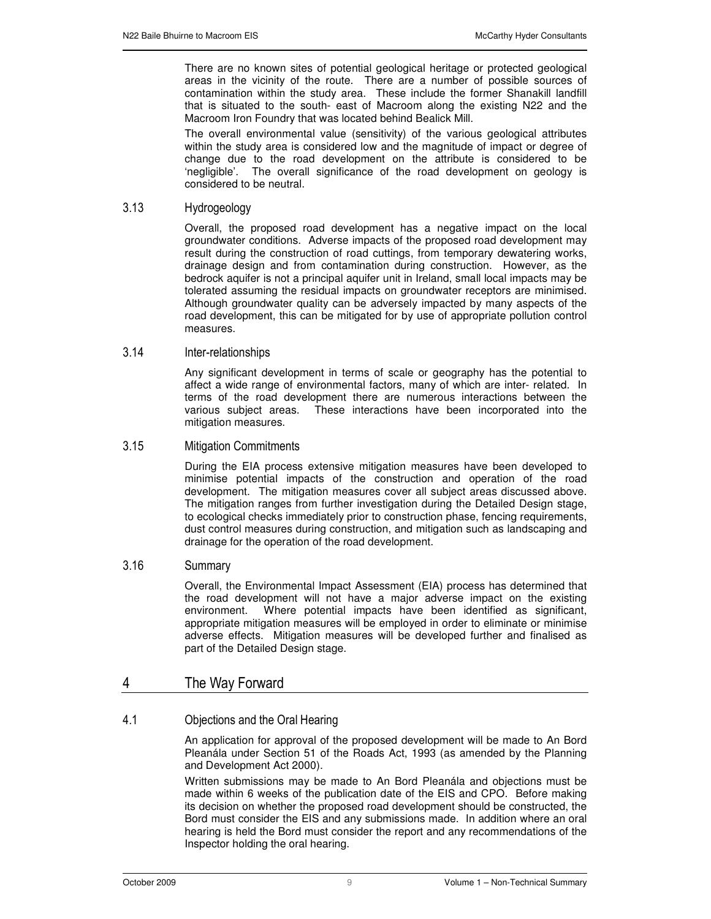There are no known sites of potential geological heritage or protected geological areas in the vicinity of the route. There are a number of possible sources of contamination within the study area. These include the former Shanakill landfill that is situated to the south- east of Macroom along the existing N22 and the Macroom Iron Foundry that was located behind Bealick Mill.

The overall environmental value (sensitivity) of the various geological attributes within the study area is considered low and the magnitude of impact or degree of change due to the road development on the attribute is considered to be 'negligible'. The overall significance of the road development on geology is considered to be neutral.

### 3.13 Hydrogeology

Overall, the proposed road development has a negative impact on the local groundwater conditions. Adverse impacts of the proposed road development may result during the construction of road cuttings, from temporary dewatering works, drainage design and from contamination during construction. However, as the bedrock aquifer is not a principal aquifer unit in Ireland, small local impacts may be tolerated assuming the residual impacts on groundwater receptors are minimised. Although groundwater quality can be adversely impacted by many aspects of the road development, this can be mitigated for by use of appropriate pollution control measures.

#### $3.14$ nter-relationships

Any significant development in terms of scale or geography has the potential to affect a wide range of environmental factors, many of which are inter- related. In terms of the road development there are numerous interactions between the various subject areas. These interactions have been incorporated into the mitigation measures.

#### $3.15$ tigation Commitments

During the EIA process extensive mitigation measures have been developed to minimise potential impacts of the construction and operation of the road development. The mitigation measures cover all subject areas discussed above. The mitigation ranges from further investigation during the Detailed Design stage, to ecological checks immediately prior to construction phase, fencing requirements, dust control measures during construction, and mitigation such as landscaping and drainage for the operation of the road development.

#### 3.16 Summary

Overall, the Environmental Impact Assessment (EIA) process has determined that the road development will not have a major adverse impact on the existing environment. Where potential impacts have been identified as significant, appropriate mitigation measures will be employed in order to eliminate or minimise adverse effects. Mitigation measures will be developed further and finalised as part of the Detailed Design stage.

## 4 The Way Forward

### 4.1 Objections and the Oral Hearing

An application for approval of the proposed development will be made to An Bord Pleanála under Section 51 of the Roads Act, 1993 (as amended by the Planning and Development Act 2000).

Written submissions may be made to An Bord Pleanála and objections must be made within 6 weeks of the publication date of the EIS and CPO. Before making its decision on whether the proposed road development should be constructed, the Bord must consider the EIS and any submissions made. In addition where an oral hearing is held the Bord must consider the report and any recommendations of the Inspector holding the oral hearing.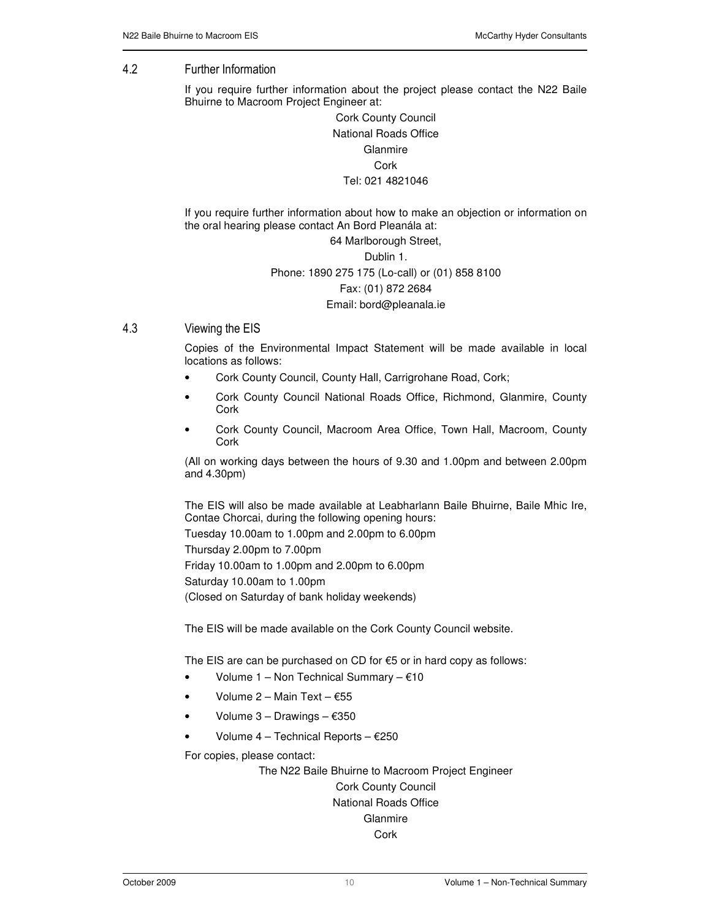## 4.2 Further Information

If you require further information about the project please contact the N22 Baile Bhuirne to Macroom Project Engineer at:

> Cork County Council National Roads Office Glanmire Cork Tel: 021 4821046

If you require further information about how to make an objection or information on the oral hearing please contact An Bord Pleanála at:

#### 64 Marlborough Street,

# Dublin 1. Phone: 1890 275 175 (Lo-call) or (01) 858 8100 Fax: (01) 872 2684 Email: bord@pleanala.ie

#### $43$ ewing the EIS

Copies of the Environmental Impact Statement will be made available in local locations as follows:

- Cork County Council, County Hall, Carrigrohane Road, Cork;
- Cork County Council National Roads Office, Richmond, Glanmire, County Cork
- Cork County Council, Macroom Area Office, Town Hall, Macroom, County **Cork**

(All on working days between the hours of 9.30 and 1.00pm and between 2.00pm and 4.30pm)

The EIS will also be made available at Leabharlann Baile Bhuirne, Baile Mhic Ire, Contae Chorcai, during the following opening hours:

Tuesday 10.00am to 1.00pm and 2.00pm to 6.00pm Thursday 2.00pm to 7.00pm Friday 10.00am to 1.00pm and 2.00pm to 6.00pm Saturday 10.00am to 1.00pm (Closed on Saturday of bank holiday weekends)

The EIS will be made available on the Cork County Council website.

The EIS are can be purchased on CD for  $€5$  or in hard copy as follows:

- Volume  $1 -$  Non Technical Summary  $-610$
- Volume 2 Main Text €55
- Volume  $3 -$  Drawings  $-$  €350
- Volume  $4$  Technical Reports  $E$ 250

For copies, please contact:

The N22 Baile Bhuirne to Macroom Project Engineer Cork County Council National Roads Office **Glanmire** Cork